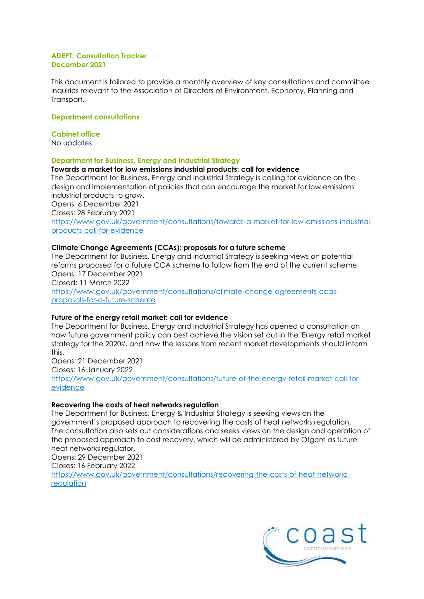#### **ADEPT: Consultation Tracker December 2021**

This document is tailored to provide a monthly overview of key consultations and committee inquiries relevant to the Association of Directors of Environment, Economy, Planning and Transport.

### **Department consultations**

### **Cabinet office**

No updates

# **Department for Business, Energy and Industrial Strategy**

### **Towards a market for low emissions industrial products: call for evidence**

The Department for Business, Energy and Industrial Strategy is calling for evidence on the design and implementation of policies that can encourage the market for low emissions industrial products to grow.

Opens: 6 December 2021 Closes: 28 February 2021

[https://www.gov.uk/government/consultations/towards-a-market-for-low-emissions-industrial](https://www.gov.uk/government/consultations/towards-a-market-for-low-emissions-industrial-products-call-for-evidence)[products-call-for-evidence](https://www.gov.uk/government/consultations/towards-a-market-for-low-emissions-industrial-products-call-for-evidence)

# **Climate Change Agreements (CCAs): proposals for a future scheme**

The Department for Business, Energy and industrial Strategy is seeking views on potential reforms proposed for a future CCA scheme to follow from the end of the current scheme. Opens: 17 December 2021 Closed: 11 March 2022 [https://www.gov.uk/government/consultations/climate-change-agreements-ccas](https://www.gov.uk/government/consultations/climate-change-agreements-ccas-proposals-for-a-future-scheme)[proposals-for-a-future-scheme](https://www.gov.uk/government/consultations/climate-change-agreements-ccas-proposals-for-a-future-scheme)

# **Future of the energy retail market: call for evidence**

The Department for Business, Energy and Industrial Strategy has opened a consultation on how future government policy can best achieve the vision set out in the 'Energy retail market strategy for the 2020s', and how the lessons from recent market developments should inform this.

Opens: 21 December 2021 Closes: 16 January 2022

[https://www.gov.uk/government/consultations/future-of-the-energy-retail-market-call-for](https://www.gov.uk/government/consultations/future-of-the-energy-retail-market-call-for-evidence)[evidence](https://www.gov.uk/government/consultations/future-of-the-energy-retail-market-call-for-evidence)

# **Recovering the costs of heat networks regulation**

The Department for Business, Energy & Industrial Strategy is seeking views on the government's proposed approach to recovering the costs of heat networks regulation. The consultation also sets out considerations and seeks views on the design and operation of the proposed approach to cost recovery, which will be administered by Ofgem as future heat networks regulator.

Opens: 29 December 2021

Closes: 16 February 2022

[https://www.gov.uk/government/consultations/recovering-the-costs-of-heat-networks](https://www.gov.uk/government/consultations/recovering-the-costs-of-heat-networks-regulation)[regulation](https://www.gov.uk/government/consultations/recovering-the-costs-of-heat-networks-regulation)

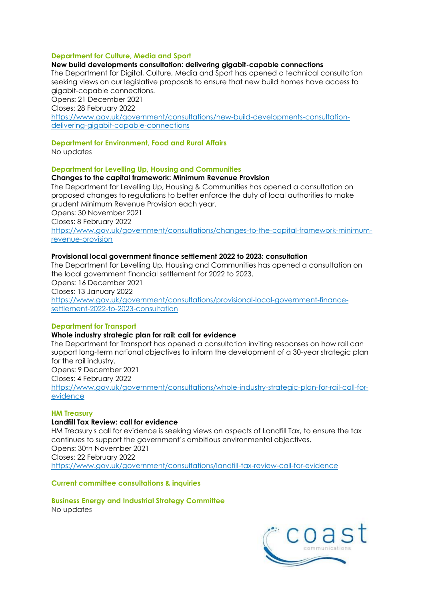### **Department for Culture, Media and Sport**

### **New build developments consultation: delivering gigabit-capable connections**

The Department for Digital, Culture, Media and Sport has opened a technical consultation seeking views on our legislative proposals to ensure that new build homes have access to gigabit-capable connections.

Opens: 21 December 2021

Closes: 28 February 2022

[https://www.gov.uk/government/consultations/new-build-developments-consultation](https://www.gov.uk/government/consultations/new-build-developments-consultation-delivering-gigabit-capable-connections)[delivering-gigabit-capable-connections](https://www.gov.uk/government/consultations/new-build-developments-consultation-delivering-gigabit-capable-connections)

### **Department for Environment, Food and Rural Affairs**

No updates

### **Department for Levelling Up, Housing and Communities**

### **Changes to the capital framework: Minimum Revenue Provision**

The Department for Levelling Up, Housing & Communities has opened a consultation on proposed changes to regulations to better enforce the duty of local authorities to make prudent Minimum Revenue Provision each year. Opens: 30 November 2021 Closes: 8 February 2022 [https://www.gov.uk/government/consultations/changes-to-the-capital-framework-minimum](https://www.gov.uk/government/consultations/changes-to-the-capital-framework-minimum-revenue-provision)[revenue-provision](https://www.gov.uk/government/consultations/changes-to-the-capital-framework-minimum-revenue-provision)

### **Provisional local government finance settlement 2022 to 2023: consultation**

The Department for Levelling Up, Housing and Communities has opened a consultation on the local government financial settlement for 2022 to 2023. Opens: 16 December 2021 Closes: 13 January 2022 [https://www.gov.uk/government/consultations/provisional-local-government-finance](https://www.gov.uk/government/consultations/provisional-local-government-finance-settlement-2022-to-2023-consultation)[settlement-2022-to-2023-consultation](https://www.gov.uk/government/consultations/provisional-local-government-finance-settlement-2022-to-2023-consultation)

### **Department for Transport**

#### **Whole industry strategic plan for rail: call for evidence**

The Department for Transport has opened a consultation inviting responses on how rail can support long-term national objectives to inform the development of a 30-year strategic plan for the rail industry. Opens: 9 December 2021 Closes: 4 February 2022 [https://www.gov.uk/government/consultations/whole-industry-strategic-plan-for-rail-call-for](https://www.gov.uk/government/consultations/whole-industry-strategic-plan-for-rail-call-for-evidence)[evidence](https://www.gov.uk/government/consultations/whole-industry-strategic-plan-for-rail-call-for-evidence)

#### **HM Treasury**

#### **Landfill Tax Review: call for evidence**

HM Treasury's call for evidence is seeking views on aspects of Landfill Tax, to ensure the tax continues to support the government's ambitious environmental objectives. Opens: 30th November 2021 Closes: 22 February 2022 <https://www.gov.uk/government/consultations/landfill-tax-review-call-for-evidence>

#### **Current committee consultations & inquiries**

**Business Energy and Industrial Strategy Committee** No updates